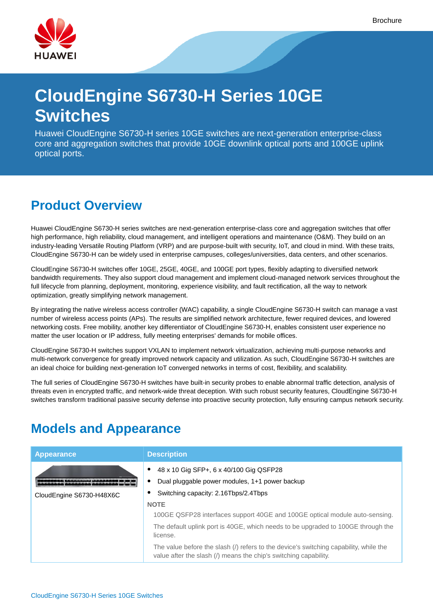

# **CloudEngine S6730-H Series 10GE Switches**

Huawei CloudEngine S6730-H series 10GE switches are next-generation enterprise-class core and aggregation switches that provide 10GE downlink optical ports and 100GE uplink optical ports.

## **Product Overview**

Huawei CloudEngine S6730-H series switches are next-generation enterprise-class core and aggregation switches that offer high performance, high reliability, cloud management, and intelligent operations and maintenance (O&M). They build on an industry-leading Versatile Routing Platform (VRP) and are purpose-built with security, IoT, and cloud in mind. With these traits, CloudEngine S6730-H can be widely used in enterprise campuses, colleges/universities, data centers, and other scenarios.

CloudEngine S6730-H switches offer 10GE, 25GE, 40GE, and 100GE port types, flexibly adapting to diversified network bandwidth requirements. They also support cloud management and implement cloud-managed network services throughout the full lifecycle from planning, deployment, monitoring, experience visibility, and fault rectification, all the way to network optimization, greatly simplifying network management.

By integrating the native wireless access controller (WAC) capability, a single CloudEngine S6730-H switch can manage a vast number of wireless access points (APs). The results are simplified network architecture, fewer required devices, and lowered networking costs. Free mobility, another key differentiator of CloudEngine S6730-H, enables consistent user experience no matter the user location or IP address, fully meeting enterprises' demands for mobile offices.

CloudEngine S6730-H switches support VXLAN to implement network virtualization, achieving multi-purpose networks and multi-network convergence for greatly improved network capacity and utilization. As such, CloudEngine S6730-H switches are an ideal choice for building next-generation IoT converged networks in terms of cost, flexibility, and scalability.

The full series of CloudEngine S6730-H switches have built-in security probes to enable abnormal traffic detection, analysis of threats even in encrypted traffic, and network-wide threat deception. With such robust security features, CloudEngine S6730-H switches transform traditional passive security defense into proactive security protection, fully ensuring campus network security.

## **Models and Appearance**

| <b>Appearance</b>        | <b>Description</b>                                                                                                                                        |
|--------------------------|-----------------------------------------------------------------------------------------------------------------------------------------------------------|
|                          | 48 x 10 Gig SFP+, 6 x 40/100 Gig QSFP28<br>$\bullet$                                                                                                      |
|                          | Dual pluggable power modules, 1+1 power backup                                                                                                            |
| CloudEngine S6730-H48X6C | Switching capacity: 2.16Tbps/2.4Tbps                                                                                                                      |
|                          | <b>NOTE</b>                                                                                                                                               |
|                          | 100GE QSFP28 interfaces support 40GE and 100GE optical module auto-sensing.                                                                               |
|                          | The default uplink port is 40GE, which needs to be upgraded to 100GE through the<br>license.                                                              |
|                          | The value before the slash (/) refers to the device's switching capability, while the<br>value after the slash (/) means the chip's switching capability. |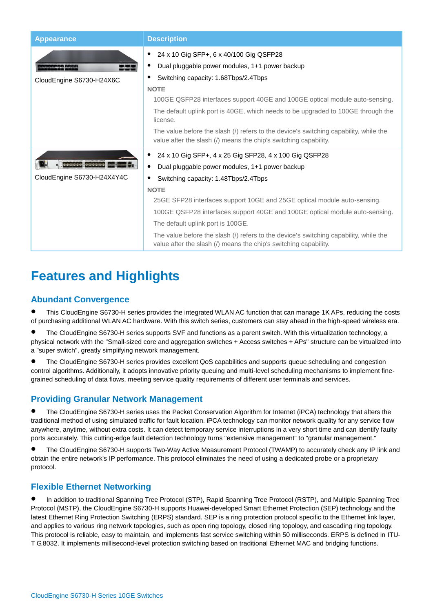| <b>Appearance</b>          | <b>Description</b>                                                                                                                                        |
|----------------------------|-----------------------------------------------------------------------------------------------------------------------------------------------------------|
|                            | 24 x 10 Gig SFP+, 6 x 40/100 Gig QSFP28                                                                                                                   |
|                            | Dual pluggable power modules, 1+1 power backup                                                                                                            |
| CloudEngine S6730-H24X6C   | Switching capacity: 1.68Tbps/2.4Tbps                                                                                                                      |
|                            | <b>NOTE</b>                                                                                                                                               |
|                            | 100GE QSFP28 interfaces support 40GE and 100GE optical module auto-sensing.                                                                               |
|                            | The default uplink port is 40GE, which needs to be upgraded to 100GE through the<br>license.                                                              |
|                            | The value before the slash (/) refers to the device's switching capability, while the<br>value after the slash (/) means the chip's switching capability. |
|                            | 24 x 10 Gig SFP+, 4 x 25 Gig SFP28, 4 x 100 Gig QSFP28                                                                                                    |
|                            | Dual pluggable power modules, 1+1 power backup                                                                                                            |
| CloudEngine S6730-H24X4Y4C | Switching capacity: 1.48Tbps/2.4Tbps                                                                                                                      |
|                            | <b>NOTE</b>                                                                                                                                               |
|                            | 25GE SFP28 interfaces support 10GE and 25GE optical module auto-sensing.                                                                                  |
|                            | 100GE QSFP28 interfaces support 40GE and 100GE optical module auto-sensing.                                                                               |
|                            | The default uplink port is 100GE.                                                                                                                         |
|                            | The value before the slash (/) refers to the device's switching capability, while the<br>value after the slash (/) means the chip's switching capability. |

### **Features and Highlights**

### **Abundant Convergence**

 This CloudEngine S6730-H series provides the integrated WLAN AC function that can manage 1K APs, reducing the costs of purchasing additional WLAN AC hardware. With this switch series, customers can stay ahead in the high-speed wireless era.

 The CloudEngine S6730-H series supports SVF and functions as a parent switch. With this virtualization technology, a physical network with the "Small-sized core and aggregation switches + Access switches + APs" structure can be virtualized into a "super switch", greatly simplifying network management.

 The CloudEngine S6730-H series provides excellent QoS capabilities and supports queue scheduling and congestion control algorithms. Additionally, it adopts innovative priority queuing and multi-level scheduling mechanisms to implement finegrained scheduling of data flows, meeting service quality requirements of different user terminals and services.

### **Providing Granular Network Management**

 The CloudEngine S6730-H series uses the Packet Conservation Algorithm for Internet (iPCA) technology that alters the traditional method of using simulated traffic for fault location. iPCA technology can monitor network quality for any service flow anywhere, anytime, without extra costs. It can detect temporary service interruptions in a very short time and can identify faulty ports accurately. This cutting-edge fault detection technology turns "extensive management" to "granular management."

 The CloudEngine S6730-H supports Two-Way Active Measurement Protocol (TWAMP) to accurately check any IP link and obtain the entire network's IP performance. This protocol eliminates the need of using a dedicated probe or a proprietary protocol.

### **Flexible Ethernet Networking**

 In addition to traditional Spanning Tree Protocol (STP), Rapid Spanning Tree Protocol (RSTP), and Multiple Spanning Tree Protocol (MSTP), the CloudEngine S6730-H supports Huawei-developed Smart Ethernet Protection (SEP) technology and the latest Ethernet Ring Protection Switching (ERPS) standard. SEP is a ring protection protocol specific to the Ethernet link layer, and applies to various ring network topologies, such as open ring topology, closed ring topology, and cascading ring topology. This protocol is reliable, easy to maintain, and implements fast service switching within 50 milliseconds. ERPS is defined in ITU-T G.8032. It implements millisecond-level protection switching based on traditional Ethernet MAC and bridging functions.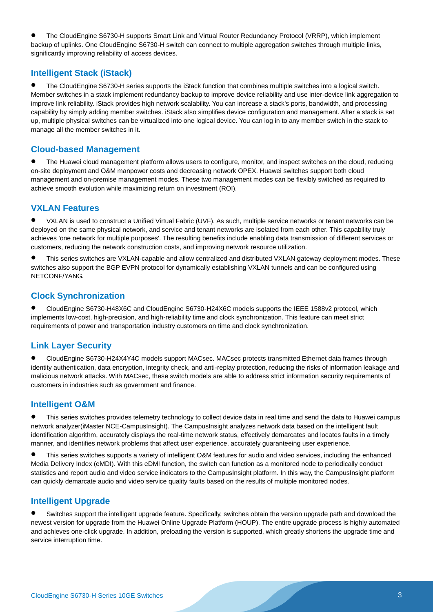The CloudEngine S6730-H supports Smart Link and Virtual Router Redundancy Protocol (VRRP), which implement backup of uplinks. One CloudEngine S6730-H switch can connect to multiple aggregation switches through multiple links, significantly improving reliability of access devices.

### **Intelligent Stack (iStack)**

 The CloudEngine S6730-H series supports the iStack function that combines multiple switches into a logical switch. Member switches in a stack implement redundancy backup to improve device reliability and use inter-device link aggregation to improve link reliability. iStack provides high network scalability. You can increase a stack's ports, bandwidth, and processing capability by simply adding member switches. iStack also simplifies device configuration and management. After a stack is set up, multiple physical switches can be virtualized into one logical device. You can log in to any member switch in the stack to manage all the member switches in it.

### **Cloud-based Management**

 The Huawei cloud management platform allows users to configure, monitor, and inspect switches on the cloud, reducing on-site deployment and O&M manpower costs and decreasing network OPEX. Huawei switches support both cloud management and on-premise management modes. These two management modes can be flexibly switched as required to achieve smooth evolution while maximizing return on investment (ROI).

### **VXLAN Features**

 VXLAN is used to construct a Unified Virtual Fabric (UVF). As such, multiple service networks or tenant networks can be deployed on the same physical network, and service and tenant networks are isolated from each other. This capability truly achieves 'one network for multiple purposes'. The resulting benefits include enabling data transmission of different services or customers, reducing the network construction costs, and improving network resource utilization.

 This series switches are VXLAN-capable and allow centralized and distributed VXLAN gateway deployment modes. These switches also support the BGP EVPN protocol for dynamically establishing VXLAN tunnels and can be configured using NETCONF/YANG.

### **Clock Synchronization**

 CloudEngine S6730-H48X6C and CloudEngine S6730-H24X6C models supports the IEEE 1588v2 protocol, which implements low-cost, high-precision, and high-reliability time and clock synchronization. This feature can meet strict requirements of power and transportation industry customers on time and clock synchronization.

### **Link Layer Security**

 CloudEngine S6730-H24X4Y4C models support MACsec. MACsec protects transmitted Ethernet data frames through identity authentication, data encryption, integrity check, and anti-replay protection, reducing the risks of information leakage and malicious network attacks. With MACsec, these switch models are able to address strict information security requirements of customers in industries such as government and finance.

### **Intelligent O&M**

 This series switches provides telemetry technology to collect device data in real time and send the data to Huawei campus network analyzer(iMaster NCE-CampusInsight). The CampusInsight analyzes network data based on the intelligent fault identification algorithm, accurately displays the real-time network status, effectively demarcates and locates faults in a timely manner, and identifies network problems that affect user experience, accurately guaranteeing user experience.

 This series switches supports a variety of intelligent O&M features for audio and video services, including the enhanced Media Delivery Index (eMDI). With this eDMI function, the switch can function as a monitored node to periodically conduct statistics and report audio and video service indicators to the CampusInsight platform. In this way, the CampusInsight platform can quickly demarcate audio and video service quality faults based on the results of multiple monitored nodes.

### **Intelligent Upgrade**

 Switches support the intelligent upgrade feature. Specifically, switches obtain the version upgrade path and download the newest version for upgrade from the Huawei Online Upgrade Platform (HOUP). The entire upgrade process is highly automated and achieves one-click upgrade. In addition, preloading the version is supported, which greatly shortens the upgrade time and service interruption time.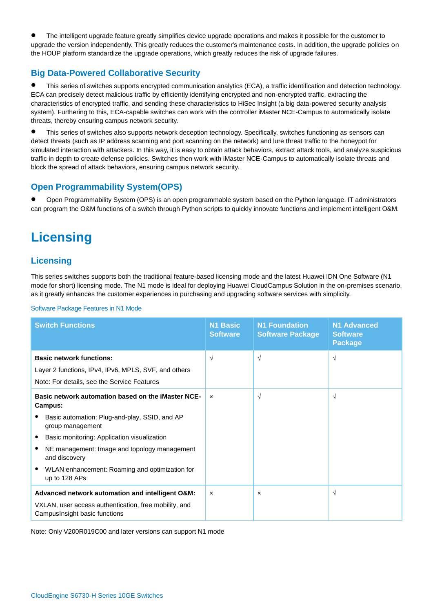The intelligent upgrade feature greatly simplifies device upgrade operations and makes it possible for the customer to upgrade the version independently. This greatly reduces the customer's maintenance costs. In addition, the upgrade policies on the HOUP platform standardize the upgrade operations, which greatly reduces the risk of upgrade failures.

### **Big Data-Powered Collaborative Security**

 This series of switches supports encrypted communication analytics (ECA), a traffic identification and detection technology. ECA can precisely detect malicious traffic by efficiently identifying encrypted and non-encrypted traffic, extracting the characteristics of encrypted traffic, and sending these characteristics to HiSec Insight (a big data-powered security analysis system). Furthering to this, ECA-capable switches can work with the controller iMaster NCE-Campus to automatically isolate threats, thereby ensuring campus network security.

 This series of switches also supports network deception technology. Specifically, switches functioning as sensors can detect threats (such as IP address scanning and port scanning on the network) and lure threat traffic to the honeypot for simulated interaction with attackers. In this way, it is easy to obtain attack behaviors, extract attack tools, and analyze suspicious traffic in depth to create defense policies. Switches then work with iMaster NCE-Campus to automatically isolate threats and block the spread of attack behaviors, ensuring campus network security.

### **Open Programmability System(OPS)**

 Open Programmability System (OPS) is an open programmable system based on the Python language. IT administrators can program the O&M functions of a switch through Python scripts to quickly innovate functions and implement intelligent O&M.

## **Licensing**

### **Licensing**

This series switches supports both the traditional feature-based licensing mode and the latest Huawei IDN One Software (N1 mode for short) licensing mode. The N1 mode is ideal for deploying Huawei CloudCampus Solution in the on-premises scenario, as it greatly enhances the customer experiences in purchasing and upgrading software services with simplicity.

| <b>Switch Functions</b>                                                                                                                                                                                                                                                                              | <b>N1 Basic</b><br><b>Software</b> | <b>N1 Foundation</b><br><b>Software Package</b> | <b>N1 Advanced</b><br><b>Software</b><br><b>Package</b> |
|------------------------------------------------------------------------------------------------------------------------------------------------------------------------------------------------------------------------------------------------------------------------------------------------------|------------------------------------|-------------------------------------------------|---------------------------------------------------------|
| <b>Basic network functions:</b><br>Layer 2 functions, IPv4, IPv6, MPLS, SVF, and others<br>Note: For details, see the Service Features                                                                                                                                                               | $\sqrt{ }$                         | $\sqrt{ }$                                      | $\sqrt{ }$                                              |
| Basic network automation based on the iMaster NCE-<br>Campus:<br>Basic automation: Plug-and-play, SSID, and AP<br>group management<br>Basic monitoring: Application visualization<br>NE management: Image and topology management<br>and discovery<br>WLAN enhancement: Roaming and optimization for | $\mathbf{x}$                       | $\sqrt{ }$                                      | $\sqrt{ }$                                              |
| up to 128 APs<br>Advanced network automation and intelligent O&M:<br>VXLAN, user access authentication, free mobility, and<br>Campus Insight basic functions                                                                                                                                         | $\boldsymbol{\mathsf{x}}$          | $\boldsymbol{\mathsf{x}}$                       | $\sqrt{ }$                                              |

Software Package Features in N1 Mode

Note: Only V200R019C00 and later versions can support N1 mode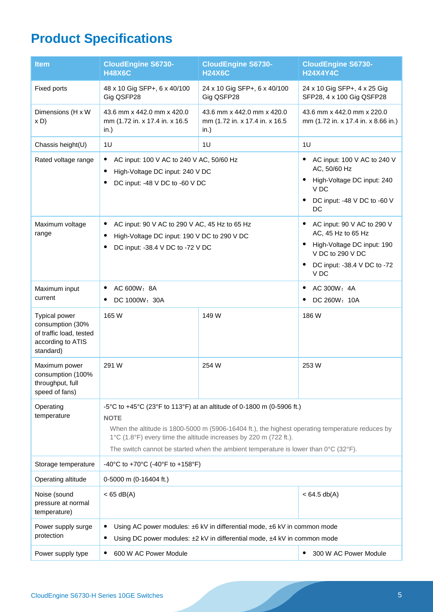# **Product Specifications**

| <b>Item</b>                                                                                    | <b>CloudEngine S6730-</b><br><b>H48X6C</b>                                                                                                                                                                                                                                                                                                                              | <b>CloudEngine S6730-</b><br><b>H24X6C</b>                           | <b>CloudEngine S6730-</b><br><b>H24X4Y4C</b>                                                                                              |
|------------------------------------------------------------------------------------------------|-------------------------------------------------------------------------------------------------------------------------------------------------------------------------------------------------------------------------------------------------------------------------------------------------------------------------------------------------------------------------|----------------------------------------------------------------------|-------------------------------------------------------------------------------------------------------------------------------------------|
| Fixed ports                                                                                    | 48 x 10 Gig SFP+, 6 x 40/100<br>Gig QSFP28                                                                                                                                                                                                                                                                                                                              | 24 x 10 Gig SFP+, 6 x 40/100<br>Gig QSFP28                           | 24 x 10 Gig SFP+, 4 x 25 Gig<br>SFP28, 4 x 100 Gig QSFP28                                                                                 |
| Dimensions (H x W<br>x D                                                                       | 43.6 mm x 442.0 mm x 420.0<br>mm (1.72 in. x 17.4 in. x 16.5<br>in.)                                                                                                                                                                                                                                                                                                    | 43.6 mm x 442.0 mm x 420.0<br>mm (1.72 in. x 17.4 in. x 16.5<br>in.) | 43.6 mm x 442.0 mm x 220.0<br>mm (1.72 in. x 17.4 in. x 8.66 in.)                                                                         |
| Chassis height(U)                                                                              | 1 <sub>U</sub>                                                                                                                                                                                                                                                                                                                                                          | 1U                                                                   | 1U                                                                                                                                        |
| Rated voltage range                                                                            | AC input: 100 V AC to 240 V AC, 50/60 Hz<br>$\bullet$<br>High-Voltage DC input: 240 V DC<br>DC input: -48 V DC to -60 V DC                                                                                                                                                                                                                                              |                                                                      | AC input: 100 V AC to 240 V<br>$\bullet$<br>AC, 50/60 Hz<br>High-Voltage DC input: 240<br>V DC<br>DC input: -48 V DC to -60 V<br>DC       |
| Maximum voltage<br>range                                                                       | AC input: 90 V AC to 290 V AC, 45 Hz to 65 Hz<br>٠<br>High-Voltage DC input: 190 V DC to 290 V DC<br>DC input: -38.4 V DC to -72 V DC                                                                                                                                                                                                                                   |                                                                      | AC input: 90 V AC to 290 V<br>AC, 45 Hz to 65 Hz<br>High-Voltage DC input: 190<br>V DC to 290 V DC<br>DC input: -38.4 V DC to -72<br>V DC |
| Maximum input<br>current                                                                       | AC 600W: 8A<br>DC 1000W: 30A                                                                                                                                                                                                                                                                                                                                            |                                                                      | AC 300W: 4A<br>DC 260W: 10A                                                                                                               |
| Typical power<br>consumption (30%<br>of traffic load, tested<br>according to ATIS<br>standard) | 165 W                                                                                                                                                                                                                                                                                                                                                                   | 149 W                                                                | 186W                                                                                                                                      |
| Maximum power<br>consumption (100%<br>throughput, full<br>speed of fans)                       | 291 W                                                                                                                                                                                                                                                                                                                                                                   | 254 W                                                                | 253W                                                                                                                                      |
| Operating<br>temperature                                                                       | -5°C to +45°C (23°F to 113°F) at an altitude of 0-1800 m (0-5906 ft.)<br><b>NOTE</b><br>When the altitude is 1800-5000 m (5906-16404 ft.), the highest operating temperature reduces by<br>1°C (1.8°F) every time the altitude increases by 220 m (722 ft.).<br>The switch cannot be started when the ambient temperature is lower than $0^{\circ}C$ (32 $^{\circ}F$ ). |                                                                      |                                                                                                                                           |
| Storage temperature                                                                            | -40°C to +70°C (-40°F to +158°F)                                                                                                                                                                                                                                                                                                                                        |                                                                      |                                                                                                                                           |
| Operating altitude                                                                             | 0-5000 m (0-16404 ft.)                                                                                                                                                                                                                                                                                                                                                  |                                                                      |                                                                                                                                           |
| Noise (sound<br>pressure at normal<br>temperature)                                             | $<$ 65 dB(A)                                                                                                                                                                                                                                                                                                                                                            |                                                                      | $< 64.5$ db(A)                                                                                                                            |
| Power supply surge<br>protection                                                               | Using AC power modules: ±6 kV in differential mode, ±6 kV in common mode<br>Using DC power modules: ±2 kV in differential mode, ±4 kV in common mode<br>٠                                                                                                                                                                                                               |                                                                      |                                                                                                                                           |
| Power supply type                                                                              | 600 W AC Power Module                                                                                                                                                                                                                                                                                                                                                   |                                                                      | 300 W AC Power Module<br>٠                                                                                                                |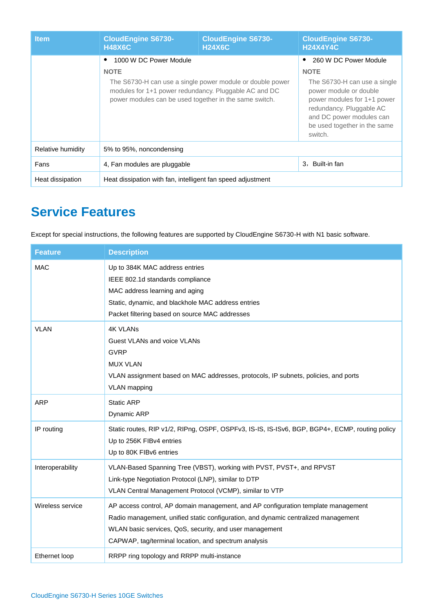| <b>Item</b>       | <b>CloudEngine S6730-</b><br><b>H48X6C</b>                                                                                                                                                                            | <b>CloudEngine S6730-</b><br><b>H24X6C</b> | <b>CloudEngine S6730-</b><br><b>H24X4Y4C</b>                                                                                                                                                                                     |
|-------------------|-----------------------------------------------------------------------------------------------------------------------------------------------------------------------------------------------------------------------|--------------------------------------------|----------------------------------------------------------------------------------------------------------------------------------------------------------------------------------------------------------------------------------|
|                   | 1000 W DC Power Module<br><b>NOTE</b><br>The S6730-H can use a single power module or double power<br>modules for 1+1 power redundancy. Pluggable AC and DC<br>power modules can be used together in the same switch. |                                            | 260 W DC Power Module<br><b>NOTE</b><br>The S6730-H can use a single<br>power module or double<br>power modules for 1+1 power<br>redundancy. Pluggable AC<br>and DC power modules can<br>be used together in the same<br>switch. |
| Relative humidity | 5% to 95%, noncondensing                                                                                                                                                                                              |                                            |                                                                                                                                                                                                                                  |
| Fans              | 4, Fan modules are pluggable                                                                                                                                                                                          |                                            | 3. Built-in fan                                                                                                                                                                                                                  |
| Heat dissipation  | Heat dissipation with fan, intelligent fan speed adjustment                                                                                                                                                           |                                            |                                                                                                                                                                                                                                  |

### **Service Features**

Except for special instructions, the following features are supported by CloudEngine S6730-H with N1 basic software.

| <b>Feature</b>   | <b>Description</b>                                                                                                                                                                                                                                                                         |
|------------------|--------------------------------------------------------------------------------------------------------------------------------------------------------------------------------------------------------------------------------------------------------------------------------------------|
| <b>MAC</b>       | Up to 384K MAC address entries<br>IEEE 802.1d standards compliance<br>MAC address learning and aging<br>Static, dynamic, and blackhole MAC address entries<br>Packet filtering based on source MAC addresses                                                                               |
| <b>VLAN</b>      | <b>4K VLANs</b><br>Guest VLANs and voice VLANs<br><b>GVRP</b><br><b>MUX VLAN</b><br>VLAN assignment based on MAC addresses, protocols, IP subnets, policies, and ports<br><b>VLAN</b> mapping                                                                                              |
| <b>ARP</b>       | <b>Static ARP</b><br>Dynamic ARP                                                                                                                                                                                                                                                           |
| IP routing       | Static routes, RIP v1/2, RIPng, OSPF, OSPFv3, IS-IS, IS-ISv6, BGP, BGP4+, ECMP, routing policy<br>Up to 256K FIBv4 entries<br>Up to 80K FIBv6 entries                                                                                                                                      |
| Interoperability | VLAN-Based Spanning Tree (VBST), working with PVST, PVST+, and RPVST<br>Link-type Negotiation Protocol (LNP), similar to DTP<br>VLAN Central Management Protocol (VCMP), similar to VTP                                                                                                    |
| Wireless service | AP access control, AP domain management, and AP configuration template management<br>Radio management, unified static configuration, and dynamic centralized management<br>WLAN basic services, QoS, security, and user management<br>CAPWAP, tag/terminal location, and spectrum analysis |
| Ethernet loop    | RRPP ring topology and RRPP multi-instance                                                                                                                                                                                                                                                 |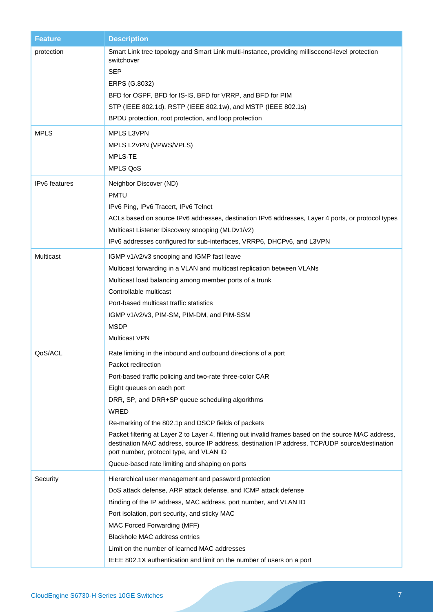| <b>Feature</b>       | <b>Description</b>                                                                                                                                                                                                                                                                                                                                                                                                                                                                                                                                                                                      |
|----------------------|---------------------------------------------------------------------------------------------------------------------------------------------------------------------------------------------------------------------------------------------------------------------------------------------------------------------------------------------------------------------------------------------------------------------------------------------------------------------------------------------------------------------------------------------------------------------------------------------------------|
| protection           | Smart Link tree topology and Smart Link multi-instance, providing millisecond-level protection<br>switchover<br><b>SEP</b><br>ERPS (G.8032)<br>BFD for OSPF, BFD for IS-IS, BFD for VRRP, and BFD for PIM<br>STP (IEEE 802.1d), RSTP (IEEE 802.1w), and MSTP (IEEE 802.1s)<br>BPDU protection, root protection, and loop protection                                                                                                                                                                                                                                                                     |
| <b>MPLS</b>          | MPLS L3VPN<br>MPLS L2VPN (VPWS/VPLS)<br>MPLS-TE<br><b>MPLS QoS</b>                                                                                                                                                                                                                                                                                                                                                                                                                                                                                                                                      |
| <b>IPv6</b> features | Neighbor Discover (ND)<br><b>PMTU</b><br>IPv6 Ping, IPv6 Tracert, IPv6 Telnet<br>ACLs based on source IPv6 addresses, destination IPv6 addresses, Layer 4 ports, or protocol types<br>Multicast Listener Discovery snooping (MLDv1/v2)<br>IPv6 addresses configured for sub-interfaces, VRRP6, DHCPv6, and L3VPN                                                                                                                                                                                                                                                                                        |
| Multicast            | IGMP v1/v2/v3 snooping and IGMP fast leave<br>Multicast forwarding in a VLAN and multicast replication between VLANs<br>Multicast load balancing among member ports of a trunk<br>Controllable multicast<br>Port-based multicast traffic statistics<br>IGMP v1/v2/v3, PIM-SM, PIM-DM, and PIM-SSM<br><b>MSDP</b><br><b>Multicast VPN</b>                                                                                                                                                                                                                                                                |
| QoS/ACL              | Rate limiting in the inbound and outbound directions of a port<br>Packet redirection<br>Port-based traffic policing and two-rate three-color CAR<br>Eight queues on each port<br>DRR, SP, and DRR+SP queue scheduling algorithms<br>WRED<br>Re-marking of the 802.1p and DSCP fields of packets<br>Packet filtering at Layer 2 to Layer 4, filtering out invalid frames based on the source MAC address,<br>destination MAC address, source IP address, destination IP address, TCP/UDP source/destination<br>port number, protocol type, and VLAN ID<br>Queue-based rate limiting and shaping on ports |
| Security             | Hierarchical user management and password protection<br>DoS attack defense, ARP attack defense, and ICMP attack defense<br>Binding of the IP address, MAC address, port number, and VLAN ID<br>Port isolation, port security, and sticky MAC<br>MAC Forced Forwarding (MFF)<br><b>Blackhole MAC address entries</b><br>Limit on the number of learned MAC addresses<br>IEEE 802.1X authentication and limit on the number of users on a port                                                                                                                                                            |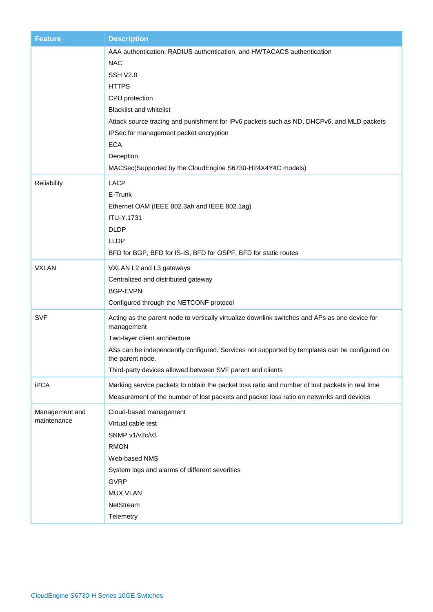| <b>Feature</b>                | <b>Description</b>                                                                                                                                                                                                                                                                                                                                                                                   |
|-------------------------------|------------------------------------------------------------------------------------------------------------------------------------------------------------------------------------------------------------------------------------------------------------------------------------------------------------------------------------------------------------------------------------------------------|
|                               | AAA authentication, RADIUS authentication, and HWTACACS authentication<br><b>NAC</b><br>SSH V2.0<br><b>HTTPS</b><br>CPU protection<br><b>Blacklist and whitelist</b><br>Attack source tracing and punishment for IPv6 packets such as ND, DHCPv6, and MLD packets<br>IPSec for management packet encryption<br><b>ECA</b><br>Deception<br>MACSec(Supported by the CloudEngine S6730-H24X4Y4C models) |
| Reliability                   | <b>LACP</b><br>E-Trunk<br>Ethernet OAM (IEEE 802.3ah and IEEE 802.1ag)<br>ITU-Y.1731<br><b>DLDP</b><br><b>LLDP</b><br>BFD for BGP, BFD for IS-IS, BFD for OSPF, BFD for static routes                                                                                                                                                                                                                |
| <b>VXLAN</b>                  | VXLAN L2 and L3 gateways<br>Centralized and distributed gateway<br><b>BGP-EVPN</b><br>Configured through the NETCONF protocol                                                                                                                                                                                                                                                                        |
| <b>SVF</b>                    | Acting as the parent node to vertically virtualize downlink switches and APs as one device for<br>management<br>Two-layer client architecture<br>ASs can be independently configured. Services not supported by templates can be configured on<br>the parent node.<br>Third-party devices allowed between SVF parent and clients                                                                     |
| <b>iPCA</b>                   | Marking service packets to obtain the packet loss ratio and number of lost packets in real time<br>Measurement of the number of lost packets and packet loss ratio on networks and devices                                                                                                                                                                                                           |
| Management and<br>maintenance | Cloud-based management<br>Virtual cable test<br>SNMP v1/v2c/v3<br><b>RMON</b><br>Web-based NMS<br>System logs and alarms of different severities<br><b>GVRP</b><br><b>MUX VLAN</b><br>NetStream<br>Telemetry                                                                                                                                                                                         |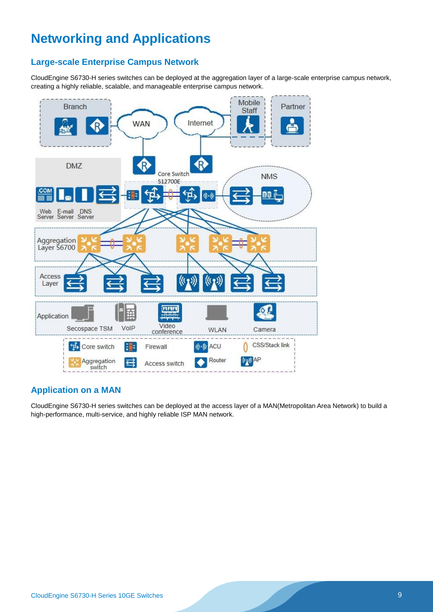## **Networking and Applications**

### **Large-scale Enterprise Campus Network**

CloudEngine S6730-H series switches can be deployed at the aggregation layer of a large-scale enterprise campus network, creating a highly reliable, scalable, and manageable enterprise campus network.



### **Application on a MAN**

CloudEngine S6730-H series switches can be deployed at the access layer of a MAN(Metropolitan Area Network) to build a high-performance, multi-service, and highly reliable ISP MAN network.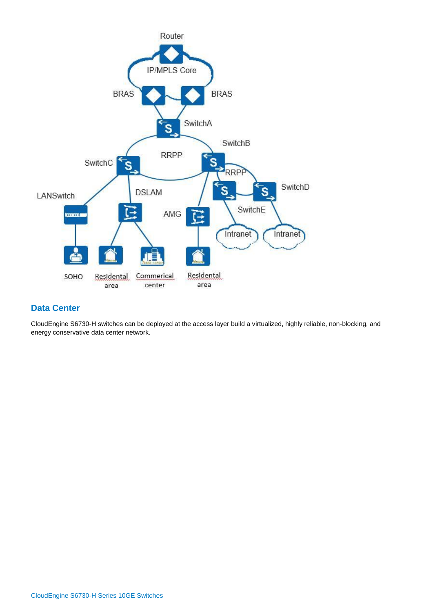

#### **Data Center**

CloudEngine S6730-H switches can be deployed at the access layer build a virtualized, highly reliable, non-blocking, and energy conservative data center network.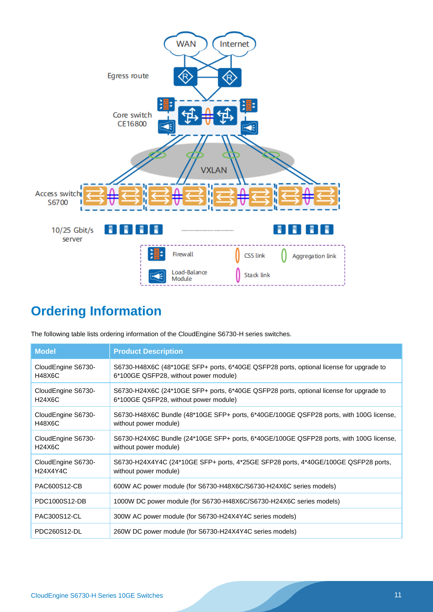

# **Ordering Information**

The following table lists ordering information of the CloudEngine S6730-H series switches.

| <b>Model</b>       | <b>Product Description</b>                                                             |
|--------------------|----------------------------------------------------------------------------------------|
| CloudEngine S6730- | S6730-H48X6C (48*10GE SFP+ ports, 6*40GE QSFP28 ports, optional license for upgrade to |
| <b>H48X6C</b>      | 6*100GE QSFP28, without power module)                                                  |
| CloudEngine S6730- | S6730-H24X6C (24*10GE SFP+ ports, 6*40GE QSFP28 ports, optional license for upgrade to |
| H24X6C             | 6*100GE QSFP28, without power module)                                                  |
| CloudEngine S6730- | S6730-H48X6C Bundle (48*10GE SFP+ ports, 6*40GE/100GE QSFP28 ports, with 100G license, |
| H48X6C             | without power module)                                                                  |
| CloudEngine S6730- | S6730-H24X6C Bundle (24*10GE SFP+ ports, 6*40GE/100GE QSFP28 ports, with 100G license, |
| H24X6C             | without power module)                                                                  |
| CloudEngine S6730- | S6730-H24X4Y4C (24*10GE SFP+ ports, 4*25GE SFP28 ports, 4*40GE/100GE QSFP28 ports,     |
| H24X4Y4C           | without power module)                                                                  |
| PAC600S12-CB       | 600W AC power module (for S6730-H48X6C/S6730-H24X6C series models)                     |
| PDC1000S12-DB      | 1000W DC power module (for S6730-H48X6C/S6730-H24X6C series models)                    |
| PAC300S12-CL       | 300W AC power module (for S6730-H24X4Y4C series models)                                |
| PDC260S12-DL       | 260W DC power module (for S6730-H24X4Y4C series models)                                |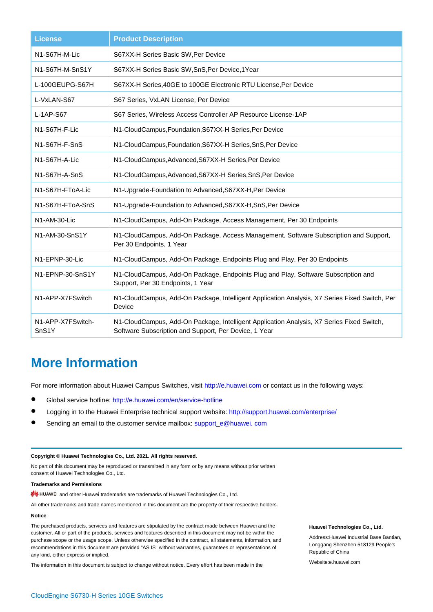| <b>License</b>                          | <b>Product Description</b>                                                                                                                         |
|-----------------------------------------|----------------------------------------------------------------------------------------------------------------------------------------------------|
| N1-S67H-M-Lic                           | S67XX-H Series Basic SW, Per Device                                                                                                                |
| N1-S67H-M-SnS1Y                         | S67XX-H Series Basic SW, SnS, Per Device, 1Year                                                                                                    |
| L-100GEUPG-S67H                         | S67XX-H Series, 40GE to 100GE Electronic RTU License, Per Device                                                                                   |
| L-VxLAN-S67                             | S67 Series, VxLAN License, Per Device                                                                                                              |
| $L-1AP-S67$                             | S67 Series, Wireless Access Controller AP Resource License-1AP                                                                                     |
| N1-S67H-F-Lic                           | N1-CloudCampus, Foundation, S67XX-H Series, Per Device                                                                                             |
| N1-S67H-F-SnS                           | N1-CloudCampus, Foundation, S67XX-H Series, SnS, Per Device                                                                                        |
| N1-S67H-A-Lic                           | N1-CloudCampus, Advanced, S67XX-H Series, Per Device                                                                                               |
| N1-S67H-A-SnS                           | N1-CloudCampus, Advanced, S67XX-H Series, SnS, Per Device                                                                                          |
| N1-S67H-FToA-Lic                        | N1-Upgrade-Foundation to Advanced, S67XX-H, Per Device                                                                                             |
| N1-S67H-FToA-SnS                        | N1-Upgrade-Foundation to Advanced, S67XX-H, SnS, Per Device                                                                                        |
| N1-AM-30-Lic                            | N1-CloudCampus, Add-On Package, Access Management, Per 30 Endpoints                                                                                |
| N1-AM-30-SnS1Y                          | N1-CloudCampus, Add-On Package, Access Management, Software Subscription and Support,<br>Per 30 Endpoints, 1 Year                                  |
| N1-EPNP-30-Lic                          | N1-CloudCampus, Add-On Package, Endpoints Plug and Play, Per 30 Endpoints                                                                          |
| N1-EPNP-30-SnS1Y                        | N1-CloudCampus, Add-On Package, Endpoints Plug and Play, Software Subscription and<br>Support, Per 30 Endpoints, 1 Year                            |
| N1-APP-X7FSwitch                        | N1-CloudCampus, Add-On Package, Intelligent Application Analysis, X7 Series Fixed Switch, Per<br>Device                                            |
| N1-APP-X7FSwitch-<br>SnS <sub>1</sub> Y | N1-CloudCampus, Add-On Package, Intelligent Application Analysis, X7 Series Fixed Switch,<br>Software Subscription and Support, Per Device, 1 Year |

### **More Information**

For more information about Huawei Campus Switches, visit [http://e.huawei.com](http://e.huawei.com/) or contact us in the following ways:

- Global service hotline:<http://e.huawei.com/en/service-hotline>
- **•** Logging in to the Huawei Enterprise technical support website:<http://support.huawei.com/enterprise/>
- Sending an email to the customer service mailbox: support\_e@huawei. com

#### **Copyright © Huawei Technologies Co., Ltd. 2021. All rights reserved.**

No part of this document may be reproduced or transmitted in any form or by any means without prior written consent of Huawei Technologies Co., Ltd.

#### **Trademarks and Permissions**

and other Huawei trademarks are trademarks of Huawei Technologies Co., Ltd.

All other trademarks and trade names mentioned in this document are the property of their respective holders.

#### **Notice**

The purchased products, services and features are stipulated by the contract made between Huawei and the customer. All or part of the products, services and features described in this document may not be within the purchase scope or the usage scope. Unless otherwise specified in the contract, all statements, information, and recommendations in this document are provided "AS IS" without warranties, guarantees or representations of any kind, either express or implied.

The information in this document is subject to change without notice. Every effort has been made in the

#### **Huawei Technologies Co., Ltd.**

Address:Huawei Industrial Base Bantian, Longgang Shenzhen 518129 People's Republic of China

Website:e.huawei.com